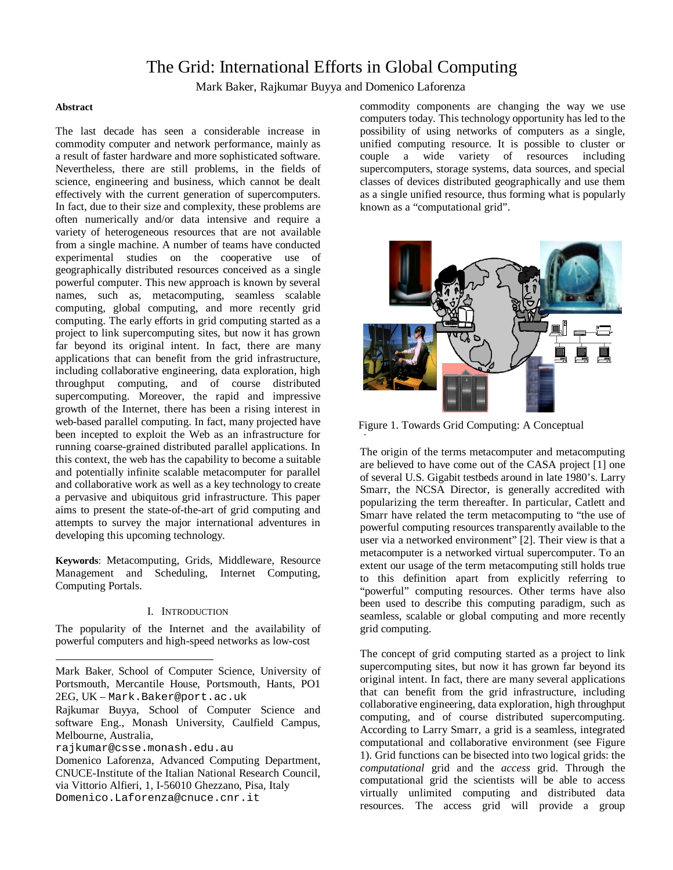# The Grid: International Efforts in Global Computing

Mark Baker, Rajkumar Buyya and Domenico Laforenza

i

#### **Abstract**

The last decade has seen a considerable increase in commodity computer and network performance, mainly as a result of faster hardware and more sophisticated software. Nevertheless, there are still problems, in the fields of science, engineering and business, which cannot be dealt effectively with the current generation of supercomputers. In fact, due to their size and complexity, these problems are often numerically and/or data intensive and require a variety of heterogeneous resources that are not available from a single machine. A number of teams have conducted experimental studies on the cooperative use of geographically distributed resources conceived as a single powerful computer. This new approach is known by several names, such as, metacomputing, seamless scalable computing, global computing, and more recently grid computing. The early efforts in grid computing started as a project to link supercomputing sites, but now it has grown far beyond its original intent. In fact, there are many applications that can benefit from the grid infrastructure, including collaborative engineering, data exploration, high throughput computing, and of course distributed supercomputing. Moreover, the rapid and impressive growth of the Internet, there has been a rising interest in web-based parallel computing. In fact, many projected have been incepted to exploit the Web as an infrastructure for running coarse-grained distributed parallel applications. In this context, the web has the capability to become a suitable and potentially infinite scalable metacomputer for parallel and collaborative work as well as a key technology to create a pervasive and ubiquitous grid infrastructure. This paper aims to present the state-of-the-art of grid computing and attempts to survey the major international adventures in developing this upcoming technology.

**Keywords**: Metacomputing, Grids, Middleware, Resource Management and Scheduling, Internet Computing, Computing Portals.

### I. INTRODUCTION

The popularity of the Internet and the availability of powerful computers and high-speed networks as low-cost

 $\overline{a}$ 

commodity components are changing the way we use computers today. This technology opportunity has led to the possibility of using networks of computers as a single, unified computing resource. It is possible to cluster or couple a wide variety of resources including supercomputers, storage systems, data sources, and special classes of devices distributed geographically and use them as a single unified resource, thus forming what is popularly known as a "computational grid".



Figure 1. Towards Grid Computing: A Conceptual

The origin of the terms metacomputer and metacomputing are believed to have come out of the CASA project [1] one of several U.S. Gigabit testbeds around in late 1980's. Larry Smarr, the NCSA Director, is generally accredited with popularizing the term thereafter. In particular, Catlett and Smarr have related the term metacomputing to "the use of powerful computing resources transparently available to the user via a networked environment" [2]. Their view is that a metacomputer is a networked virtual supercomputer. To an extent our usage of the term metacomputing still holds true to this definition apart from explicitly referring to "powerful" computing resources. Other terms have also been used to describe this computing paradigm, such as seamless, scalable or global computing and more recently grid computing.

The concept of grid computing started as a project to link supercomputing sites, but now it has grown far beyond its original intent. In fact, there are many several applications that can benefit from the grid infrastructure, including collaborative engineering, data exploration, high throughput computing, and of course distributed supercomputing. According to Larry Smarr, a grid is a seamless, integrated computational and collaborative environment (see Figure 1). Grid functions can be bisected into two logical grids: the *computational* grid and the *access* grid. Through the computational grid the scientists will be able to access virtually unlimited computing and distributed data resources. The access grid will provide a group

Mark Baker, School of Computer Science, University of Portsmouth, Mercantile House, Portsmouth, Hants, PO1 2EG, UK – Mark.Baker@port.ac.uk

Rajkumar Buyya, School of Computer Science and software Eng., Monash University, Caulfield Campus, Melbourne, Australia,

rajkumar@csse.monash.edu.au

Domenico Laforenza, Advanced Computing Department, CNUCE-Institute of the Italian National Research Council, via Vittorio Alfieri, 1, I-56010 Ghezzano, Pisa, Italy Domenico.Laforenza@cnuce.cnr.it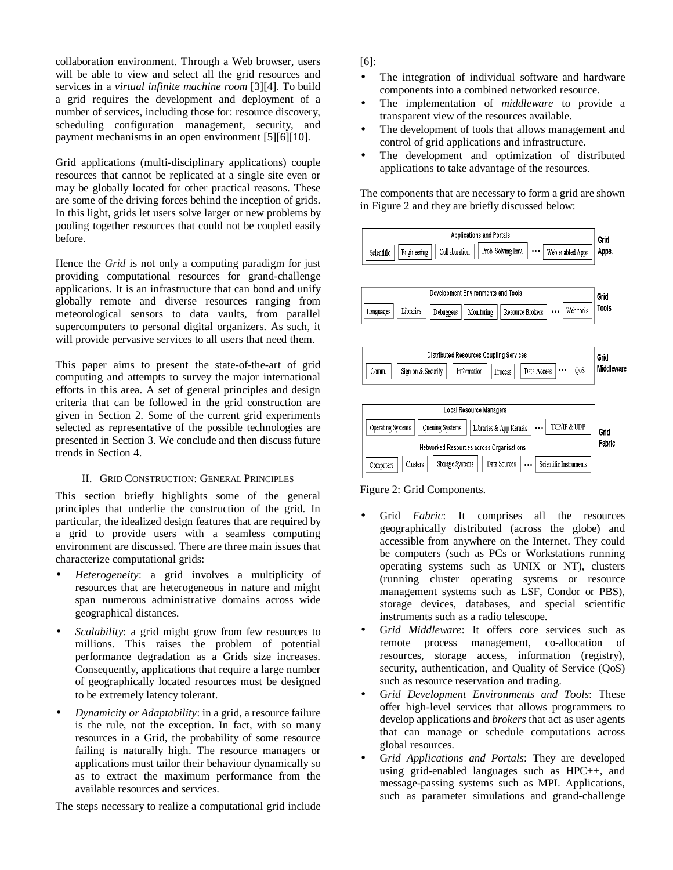collaboration environment. Through a Web browser, users will be able to view and select all the grid resources and services in a *virtual infinite machine room* [3][4]. To build a grid requires the development and deployment of a number of services, including those for: resource discovery, scheduling configuration management, security, and payment mechanisms in an open environment [5][6][10].

Grid applications (multi-disciplinary applications) couple resources that cannot be replicated at a single site even or may be globally located for other practical reasons. These are some of the driving forces behind the inception of grids. In this light, grids let users solve larger or new problems by pooling together resources that could not be coupled easily before.

Hence the *Grid* is not only a computing paradigm for just providing computational resources for grand-challenge applications. It is an infrastructure that can bond and unify globally remote and diverse resources ranging from meteorological sensors to data vaults, from parallel supercomputers to personal digital organizers. As such, it will provide pervasive services to all users that need them.

This paper aims to present the state-of-the-art of grid computing and attempts to survey the major international efforts in this area. A set of general principles and design criteria that can be followed in the grid construction are given in Section 2. Some of the current grid experiments selected as representative of the possible technologies are presented in Section 3. We conclude and then discuss future trends in Section 4.

## II. GRID CONSTRUCTION: GENERAL PRINCIPLES

This section briefly highlights some of the general principles that underlie the construction of the grid. In particular, the idealized design features that are required by a grid to provide users with a seamless computing environment are discussed. There are three main issues that characterize computational grids:

- *Heterogeneity*: a grid involves a multiplicity of resources that are heterogeneous in nature and might span numerous administrative domains across wide geographical distances.
- Scalability: a grid might grow from few resources to millions. This raises the problem of potential performance degradation as a Grids size increases. Consequently, applications that require a large number of geographically located resources must be designed to be extremely latency tolerant.
- *Dynamicity or Adaptability*: in a grid, a resource failure is the rule, not the exception. In fact, with so many resources in a Grid, the probability of some resource failing is naturally high. The resource managers or applications must tailor their behaviour dynamically so as to extract the maximum performance from the available resources and services.

The steps necessary to realize a computational grid include

[6]:

- The integration of individual software and hardware components into a combined networked resource.
- The implementation of *middleware* to provide a transparent view of the resources available.
- The development of tools that allows management and control of grid applications and infrastructure.
- The development and optimization of distributed applications to take advantage of the resources.

The components that are necessary to form a grid are shown in Figure 2 and they are briefly discussed below:



Figure 2: Grid Components.

- Grid *Fabric*: It comprises all the resources geographically distributed (across the globe) and accessible from anywhere on the Internet. They could be computers (such as PCs or Workstations running operating systems such as UNIX or NT), clusters (running cluster operating systems or resource management systems such as LSF, Condor or PBS), storage devices, databases, and special scientific instruments such as a radio telescope.
- G*rid Middleware*: It offers core services such as remote process management, co-allocation of resources, storage access, information (registry), security, authentication, and Quality of Service (QoS) such as resource reservation and trading.
- G*rid Development Environments and Tools*: These offer high-level services that allows programmers to develop applications and *brokers* that act as user agents that can manage or schedule computations across global resources.
- G*rid Applications and Portals*: They are developed using grid-enabled languages such as HPC++, and message-passing systems such as MPI. Applications, such as parameter simulations and grand-challenge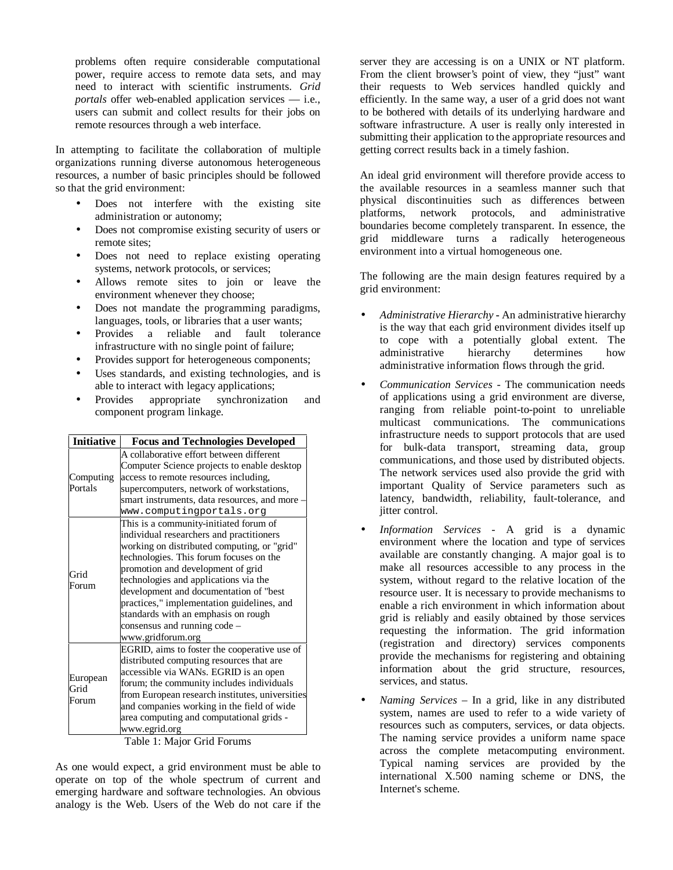problems often require considerable computational power, require access to remote data sets, and may need to interact with scientific instruments. *Grid portals* offer web-enabled application services — i.e., users can submit and collect results for their jobs on remote resources through a web interface.

In attempting to facilitate the collaboration of multiple organizations running diverse autonomous heterogeneous resources, a number of basic principles should be followed so that the grid environment:

- Does not interfere with the existing site administration or autonomy;
- Does not compromise existing security of users or remote sites;
- Does not need to replace existing operating systems, network protocols, or services;
- Allows remote sites to join or leave the environment whenever they choose;
- Does not mandate the programming paradigms, languages, tools, or libraries that a user wants;
- Provides a reliable and fault tolerance infrastructure with no single point of failure;
- Provides support for heterogeneous components;
- Uses standards, and existing technologies, and is able to interact with legacy applications;
- Provides appropriate synchronization and component program linkage.

| <b>Initiative</b>         | <b>Focus and Technologies Developed</b>                                                                                                                                                                                                                                                                                                                                                                                                        |
|---------------------------|------------------------------------------------------------------------------------------------------------------------------------------------------------------------------------------------------------------------------------------------------------------------------------------------------------------------------------------------------------------------------------------------------------------------------------------------|
| Computing<br>Portals      | A collaborative effort between different<br>Computer Science projects to enable desktop<br>access to remote resources including,<br>supercomputers, network of workstations,<br>smart instruments, data resources, and more<br>www.computingportals.org                                                                                                                                                                                        |
| Grid<br>Forum             | This is a community-initiated forum of<br>individual researchers and practitioners<br>working on distributed computing, or "grid"<br>technologies. This forum focuses on the<br>promotion and development of grid<br>technologies and applications via the<br>development and documentation of "best<br>practices," implementation guidelines, and<br>standards with an emphasis on rough<br>consensus and running code –<br>www.gridforum.org |
| European<br>Grid<br>Forum | EGRID, aims to foster the cooperative use of<br>distributed computing resources that are<br>accessible via WANs. EGRID is an open<br>forum; the community includes individuals<br>from European research institutes, universities<br>and companies working in the field of wide<br>area computing and computational grids -<br>www.egrid.org<br>Table 1: Maior Grid Forums                                                                     |

Table 1: Major Grid Forums

As one would expect, a grid environment must be able to operate on top of the whole spectrum of current and emerging hardware and software technologies. An obvious analogy is the Web. Users of the Web do not care if the

server they are accessing is on a UNIX or NT platform. From the client browser's point of view, they "just" want their requests to Web services handled quickly and efficiently. In the same way, a user of a grid does not want to be bothered with details of its underlying hardware and software infrastructure. A user is really only interested in submitting their application to the appropriate resources and getting correct results back in a timely fashion.

An ideal grid environment will therefore provide access to the available resources in a seamless manner such that physical discontinuities such as differences between platforms, network protocols, and administrative boundaries become completely transparent. In essence, the grid middleware turns a radically heterogeneous environment into a virtual homogeneous one.

The following are the main design features required by a grid environment:

- *Administrative Hierarchy*An administrative hierarchy is the way that each grid environment divides itself up to cope with a potentially global extent. The administrative hierarchy determines how administrative information flows through the grid.
- *Communication Services* The communication needs of applications using a grid environment are diverse, ranging from reliable point-to-point to unreliable multicast communications. The communications infrastructure needs to support protocols that are used for bulk-data transport, streaming data, group communications, and those used by distributed objects. The network services used also provide the grid with important Quality of Service parameters such as latency, bandwidth, reliability, fault-tolerance, and jitter control.
- *Information Services* A grid is a dynamic environment where the location and type of services available are constantly changing. A major goal is to make all resources accessible to any process in the system, without regard to the relative location of the resource user. It is necessary to provide mechanisms to enable a rich environment in which information about grid is reliably and easily obtained by those services requesting the information. The grid information (registration and directory) services components provide the mechanisms for registering and obtaining information about the grid structure, resources, services, and status.
- *Naming Services* In a grid, like in any distributed system, names are used to refer to a wide variety of resources such as computers, services, or data objects. The naming service provides a uniform name space across the complete metacomputing environment. Typical naming services are provided by the international X.500 naming scheme or DNS, the Internet's scheme.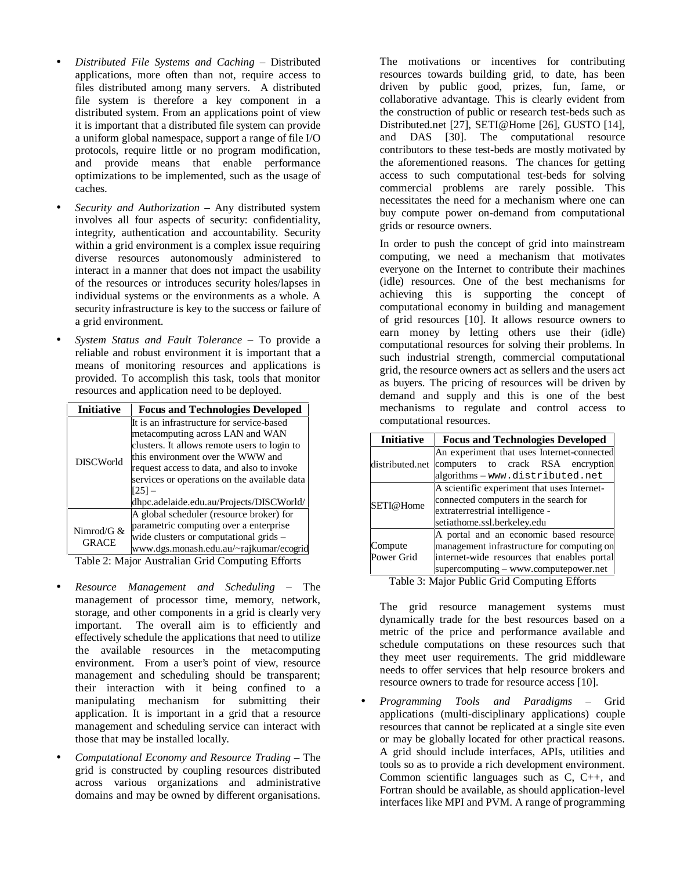- *Distributed File Systems and Caching –* Distributed applications, more often than not, require access to files distributed among many servers. A distributed file system is therefore a key component in a distributed system. From an applications point of view it is important that a distributed file system can provide a uniform global namespace, support a range of file I/O protocols, require little or no program modification, and provide means that enable performance optimizations to be implemented, such as the usage of caches.
- *Security and Authorization –* Any distributed system involves all four aspects of security: confidentiality, integrity, authentication and accountability. Security within a grid environment is a complex issue requiring diverse resources autonomously administered to interact in a manner that does not impact the usability of the resources or introduces security holes/lapses in individual systems or the environments as a whole. A security infrastructure is key to the success or failure of a grid environment.
- *System Status and Fault Tolerance –* To provide a reliable and robust environment it is important that a means of monitoring resources and applications is provided. To accomplish this task, tools that monitor resources and application need to be deployed.

| <b>Initiative</b>            | <b>Focus and Technologies Developed</b>                                                                                                                                                                                                                                                                                |
|------------------------------|------------------------------------------------------------------------------------------------------------------------------------------------------------------------------------------------------------------------------------------------------------------------------------------------------------------------|
| <b>DISCWorld</b>             | It is an infrastructure for service-based<br>metacomputing across LAN and WAN<br>clusters. It allows remote users to login to<br>this environment over the WWW and<br>request access to data, and also to invoke<br>services or operations on the available data<br>[25] –<br>dhpc.adelaide.edu.au/Projects/DISCWorld/ |
| Nimrod/G $&$<br><b>GRACE</b> | A global scheduler (resource broker) for<br>parametric computing over a enterprise<br>wide clusters or computational grids -<br>www.dgs.monash.edu.au/~rajkumar/ecogrid                                                                                                                                                |

Table 2: Major Australian Grid Computing Efforts

- *Resource Management and Scheduling –* The management of processor time, memory, network, storage, and other components in a grid is clearly very important. The overall aim is to efficiently and effectively schedule the applications that need to utilize the available resources in the metacomputing environment. From a user's point of view, resource management and scheduling should be transparent; their interaction with it being confined to a manipulating mechanism for submitting their application. It is important in a grid that a resource management and scheduling service can interact with those that may be installed locally.
- *Computational Economy and Resource Trading –* The grid is constructed by coupling resources distributed across various organizations and administrative domains and may be owned by different organisations.

The motivations or incentives for contributing resources towards building grid, to date, has been driven by public good, prizes, fun, fame, or collaborative advantage. This is clearly evident from the construction of public or research test-beds such as Distributed.net [27], SETI@Home [26], GUSTO [14], and DAS [30]. The computational resource contributors to these test-beds are mostly motivated by the aforementioned reasons. The chances for getting access to such computational test-beds for solving commercial problems are rarely possible. This necessitates the need for a mechanism where one can buy compute power on-demand from computational grids or resource owners.

In order to push the concept of grid into mainstream computing, we need a mechanism that motivates everyone on the Internet to contribute their machines (idle) resources. One of the best mechanisms for achieving this is supporting the concept of computational economy in building and management of grid resources [10]. It allows resource owners to earn money by letting others use their (idle) computational resources for solving their problems. In such industrial strength, commercial computational grid, the resource owners act as sellers and the users act as buyers. The pricing of resources will be driven by demand and supply and this is one of the best mechanisms to regulate and control access to computational resources.

| <b>Initiative</b>     | <b>Focus and Technologies Developed</b>                                                                                                                                                  |
|-----------------------|------------------------------------------------------------------------------------------------------------------------------------------------------------------------------------------|
| distributed.net       | An experiment that uses Internet-connected<br>computers to crack RSA encryption                                                                                                          |
| SETI@Home             | algorithms-www.distributed.net<br>A scientific experiment that uses Internet-<br>connected computers in the search for<br>extraterrestrial intelligence -<br>setiathome.ssl.berkeley.edu |
| Compute<br>Power Grid | A portal and an economic based resource<br>management infrastructure for computing on<br>internet-wide resources that enables portal<br>supercomputing – www.computepower.net            |

Table 3: Major Public Grid Computing Efforts

The grid resource management systems must dynamically trade for the best resources based on a metric of the price and performance available and schedule computations on these resources such that they meet user requirements. The grid middleware needs to offer services that help resource brokers and resource owners to trade for resource access [10].

• *Programming Tools and Paradigms* – Grid applications (multi-disciplinary applications) couple resources that cannot be replicated at a single site even or may be globally located for other practical reasons. A grid should include interfaces, APIs, utilities and tools so as to provide a rich development environment. Common scientific languages such as C, C++, and Fortran should be available, as should application-level interfaces like MPI and PVM. A range of programming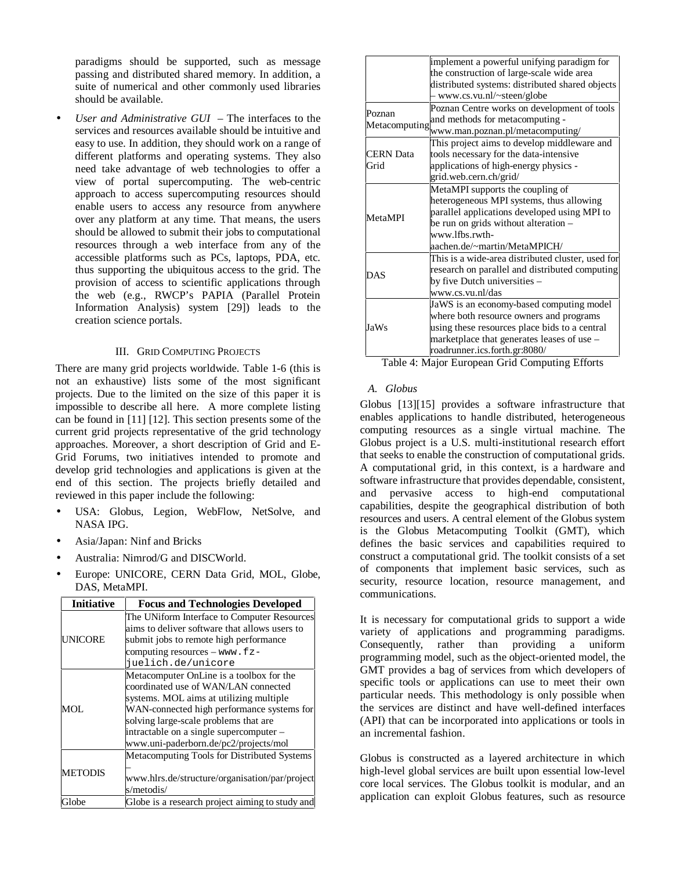paradigms should be supported, such as message passing and distributed shared memory. In addition, a suite of numerical and other commonly used libraries should be available.

• *User and Administrative GUI* – The interfaces to the services and resources available should be intuitive and easy to use. In addition, they should work on a range of different platforms and operating systems. They also need take advantage of web technologies to offer a view of portal supercomputing. The web-centric approach to access supercomputing resources should enable users to access any resource from anywhere over any platform at any time. That means, the users should be allowed to submit their jobs to computational resources through a web interface from any of the accessible platforms such as PCs, laptops, PDA, etc. thus supporting the ubiquitous access to the grid. The provision of access to scientific applications through the web (e.g., RWCP's PAPIA (Parallel Protein Information Analysis) system [29]) leads to the creation science portals.

## III. GRID COMPUTING PROJECTS

There are many grid projects worldwide. Table 1-6 (this is not an exhaustive) lists some of the most significant projects. Due to the limited on the size of this paper it is impossible to describe all here. A more complete listing can be found in [11] [12]. This section presents some of the current grid projects representative of the grid technology approaches. Moreover, a short description of Grid and E-Grid Forums, two initiatives intended to promote and develop grid technologies and applications is given at the end of this section. The projects briefly detailed and reviewed in this paper include the following:

- USA: Globus, Legion, WebFlow, NetSolve, and NASA IPG.
- Asia/Japan: Ninf and Bricks
- Australia: Nimrod/G and DISCWorld.
- Europe: UNICORE, CERN Data Grid, MOL, Globe, DAS, MetaMPI.

| <b>Initiative</b> | <b>Focus and Technologies Developed</b>         |
|-------------------|-------------------------------------------------|
| <b>UNICORE</b>    | The UNiform Interface to Computer Resources     |
|                   | aims to deliver software that allows users to   |
|                   | submit jobs to remote high performance          |
|                   | computing resources – www.fz-                   |
|                   | juelich.de/unicore                              |
|                   | Metacomputer OnLine is a toolbox for the        |
|                   | coordinated use of WAN/LAN connected            |
|                   | systems. MOL aims at utilizing multiple         |
| MOL.              | WAN-connected high performance systems for      |
|                   | solving large-scale problems that are           |
|                   | intractable on a single supercomputer -         |
|                   | www.uni-paderborn.de/pc2/projects/mol           |
|                   | Metacomputing Tools for Distributed Systems     |
| <b>METODIS</b>    |                                                 |
|                   | www.hlrs.de/structure/organisation/par/project  |
|                   | s/metodis/                                      |
| Globe             | Globe is a research project aiming to study and |

| implement a powerful unifying paradigm for        |
|---------------------------------------------------|
| the construction of large-scale wide area         |
| distributed systems: distributed shared objects   |
| - www.cs.vu.nl/~steen/globe                       |
| Poznan Centre works on development of tools       |
| and methods for metacomputing -                   |
| Metacomputing<br>www.man.poznan.pl/metacomputing/ |
| This project aims to develop middleware and       |
| tools necessary for the data-intensive            |
| applications of high-energy physics -             |
| grid.web.cern.ch/grid/                            |
| MetaMPI supports the coupling of                  |
| heterogeneous MPI systems, thus allowing          |
| parallel applications developed using MPI to      |
| be run on grids without alteration -              |
| www.lfbs.rwth-                                    |
| aachen.de/~martin/MetaMPICH/                      |
| This is a wide-area distributed cluster, used for |
| research on parallel and distributed computing    |
| by five Dutch universities -                      |
| www.cs.yu.nl/das                                  |
| JaWS is an economy-based computing model          |
| where both resource owners and programs           |
| using these resources place bids to a central     |
| marketplace that generates leases of use -        |
| roadrunner.ics.forth.gr:8080/                     |
|                                                   |

Table 4: Major European Grid Computing Efforts

### *A. Globus*

Globus [13][15] provides a software infrastructure that enables applications to handle distributed, heterogeneous computing resources as a single virtual machine. The Globus project is a U.S. multi-institutional research effort that seeks to enable the construction of computational grids. A computational grid, in this context, is a hardware and software infrastructure that provides dependable, consistent, and pervasive access to high-end computational capabilities, despite the geographical distribution of both resources and users. A central element of the Globus system is the Globus Metacomputing Toolkit (GMT), which defines the basic services and capabilities required to construct a computational grid. The toolkit consists of a set of components that implement basic services, such as security, resource location, resource management, and communications.

It is necessary for computational grids to support a wide variety of applications and programming paradigms. Consequently, rather than providing a uniform programming model, such as the object-oriented model, the GMT provides a bag of services from which developers of specific tools or applications can use to meet their own particular needs. This methodology is only possible when the services are distinct and have well-defined interfaces (API) that can be incorporated into applications or tools in an incremental fashion.

Globus is constructed as a layered architecture in which high-level global services are built upon essential low-level core local services. The Globus toolkit is modular, and an application can exploit Globus features, such as resource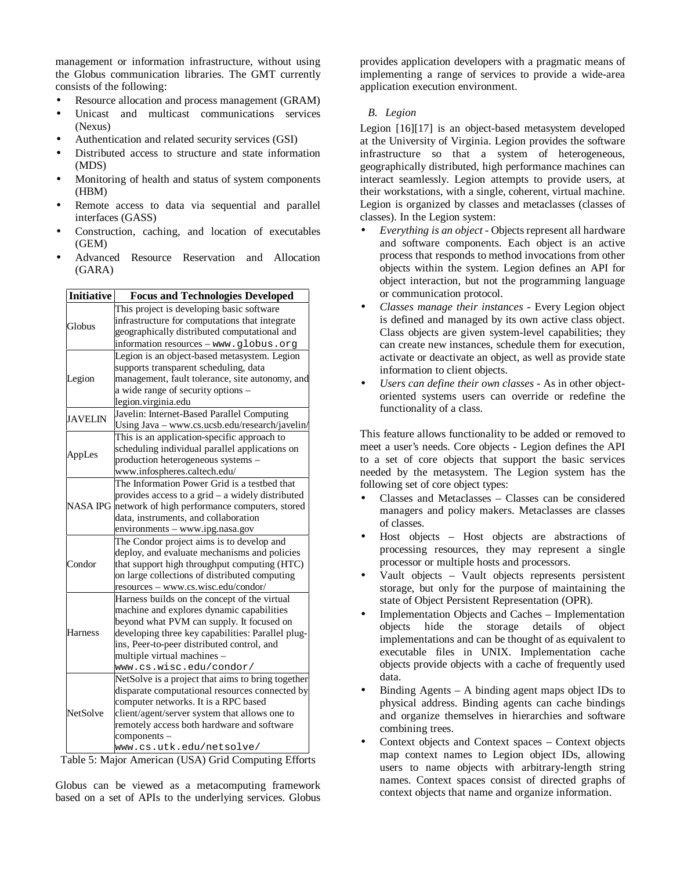management or information infrastructure, without using the Globus communication libraries. The GMT currently consists of the following:

- Resource allocation and process management (GRAM)
- Unicast and multicast communications services (Nexus)
- Authentication and related security services (GSI)
- Distributed access to structure and state information (MDS)
- Monitoring of health and status of system components (HBM)
- Remote access to data via sequential and parallel interfaces (GASS)
- Construction, caching, and location of executables (GEM)
- Advanced Resource Reservation and Allocation (GARA)

| <b>Initiative</b> | <b>Focus and Technologies Developed</b>                |
|-------------------|--------------------------------------------------------|
| Globus            | This project is developing basic software              |
|                   | infrastructure for computations that integrate         |
|                   | geographically distributed computational and           |
|                   | information resources - www.globus.org                 |
|                   | Legion is an object-based metasystem. Legion           |
|                   | supports transparent scheduling, data                  |
| Legion            | management, fault tolerance, site autonomy, and        |
|                   | a wide range of security options -                     |
|                   | legion.virginia.edu                                    |
| <b>JAVELIN</b>    | Javelin: Internet-Based Parallel Computing             |
|                   | Using Java - www.cs.ucsb.edu/research/javelin/         |
|                   | This is an application-specific approach to            |
| AppLes            | scheduling individual parallel applications on         |
|                   | production heterogeneous systems -                     |
|                   | www.infospheres.caltech.edu/                           |
|                   | The Information Power Grid is a testbed that           |
|                   | provides access to a grid – a widely distributed       |
|                   | NASA IPG network of high performance computers, stored |
|                   | data, instruments, and collaboration                   |
|                   | environments - www.ipg.nasa.gov                        |
|                   | The Condor project aims is to develop and              |
|                   | deploy, and evaluate mechanisms and policies           |
| Condor            | that support high throughput computing (HTC)           |
|                   | on large collections of distributed computing          |
|                   | resources - www.cs.wisc.edu/condor/                    |
|                   | Harness builds on the concept of the virtual           |
|                   | machine and explores dynamic capabilities              |
|                   | beyond what PVM can supply. It focused on              |
| Harness           | developing three key capabilities: Parallel plug-      |
|                   | ins, Peer-to-peer distributed control, and             |
|                   | multiple virtual machines -                            |
|                   | www.cs.wisc.edu/condor/                                |
| NetSolve          | NetSolve is a project that aims to bring together      |
|                   | disparate computational resources connected by         |
|                   | computer networks. It is a RPC based                   |
|                   | client/agent/server system that allows one to          |
|                   | remotely access both hardware and software             |
|                   | components-                                            |
|                   | www.cs.utk.edu/netsolve/                               |

Table 5: Major American (USA) Grid Computing Efforts

Globus can be viewed as a metacomputing framework based on a set of APIs to the underlying services. Globus provides application developers with a pragmatic means of implementing a range of services to provide a wide-area application execution environment.

# *B. Legion*

Legion [16][17] is an object-based metasystem developed at the University of Virginia. Legion provides the software infrastructure so that a system of heterogeneous, geographically distributed, high performance machines can interact seamlessly. Legion attempts to provide users, at their workstations, with a single, coherent, virtual machine. Legion is organized by classes and metaclasses (classes of classes). In the Legion system:

- *Everything is an object* Objects represent all hardware and software components. Each object is an active process that responds to method invocations from other objects within the system. Legion defines an API for object interaction, but not the programming language or communication protocol.
- *Classes manage their instances* Every Legion object is defined and managed by its own active class object. Class objects are given system-level capabilities; they can create new instances, schedule them for execution, activate or deactivate an object, as well as provide state information to client objects.
- *Users can define their own classes* As in other objectoriented systems users can override or redefine the functionality of a class.

This feature allows functionality to be added or removed to meet a user's needs. Core objects - Legion defines the API to a set of core objects that support the basic services needed by the metasystem. The Legion system has the following set of core object types:

- Classes and Metaclasses Classes can be considered managers and policy makers. Metaclasses are classes of classes.
- Host objects Host objects are abstractions of processing resources, they may represent a single processor or multiple hosts and processors.
- Vault objects Vault objects represents persistent storage, but only for the purpose of maintaining the state of Object Persistent Representation (OPR).
- Implementation Objects and Caches Implementation objects hide the storage details of object implementations and can be thought of as equivalent to executable files in UNIX. Implementation cache objects provide objects with a cache of frequently used data.
- Binding Agents  $A$  binding agent maps object IDs to physical address. Binding agents can cache bindings and organize themselves in hierarchies and software combining trees.
- Context objects and Context spaces Context objects map context names to Legion object IDs, allowing users to name objects with arbitrary-length string names. Context spaces consist of directed graphs of context objects that name and organize information.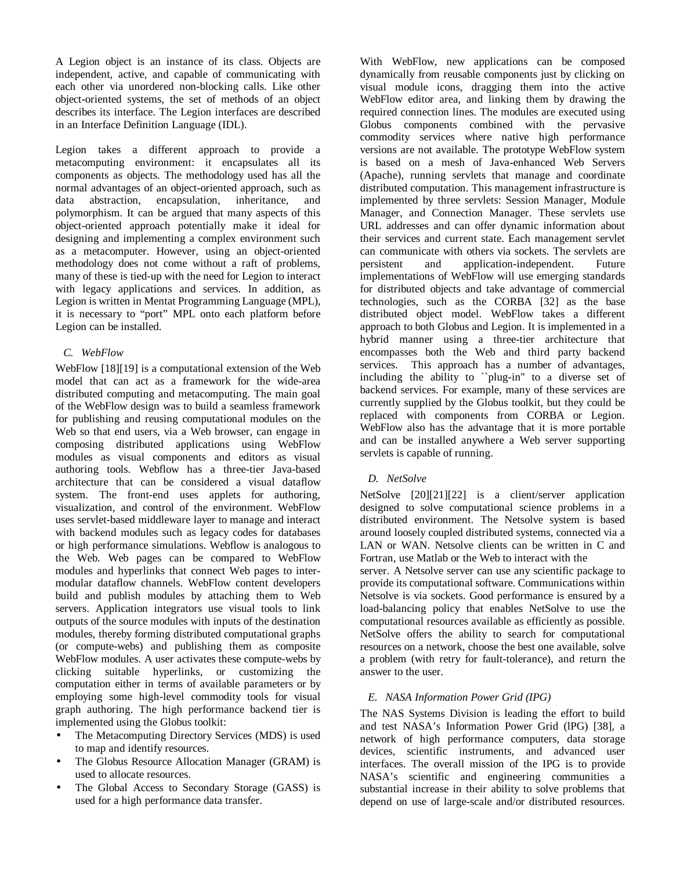A Legion object is an instance of its class. Objects are independent, active, and capable of communicating with each other via unordered non-blocking calls. Like other object-oriented systems, the set of methods of an object describes its interface. The Legion interfaces are described in an Interface Definition Language (IDL).

Legion takes a different approach to provide a metacomputing environment: it encapsulates all its components as objects. The methodology used has all the normal advantages of an object-oriented approach, such as data abstraction, encapsulation, inheritance, and polymorphism. It can be argued that many aspects of this object-oriented approach potentially make it ideal for designing and implementing a complex environment such as a metacomputer. However, using an object-oriented methodology does not come without a raft of problems, many of these is tied-up with the need for Legion to interact with legacy applications and services. In addition, as Legion is written in Mentat Programming Language (MPL), it is necessary to "port" MPL onto each platform before Legion can be installed.

## *C. WebFlow*

WebFlow [18][19] is a computational extension of the Web model that can act as a framework for the wide-area distributed computing and metacomputing. The main goal of the WebFlow design was to build a seamless framework for publishing and reusing computational modules on the Web so that end users, via a Web browser, can engage in composing distributed applications using WebFlow modules as visual components and editors as visual authoring tools. Webflow has a three-tier Java-based architecture that can be considered a visual dataflow system. The front-end uses applets for authoring, visualization, and control of the environment. WebFlow uses servlet-based middleware layer to manage and interact with backend modules such as legacy codes for databases or high performance simulations. Webflow is analogous to the Web. Web pages can be compared to WebFlow modules and hyperlinks that connect Web pages to intermodular dataflow channels. WebFlow content developers build and publish modules by attaching them to Web servers. Application integrators use visual tools to link outputs of the source modules with inputs of the destination modules, thereby forming distributed computational graphs (or compute-webs) and publishing them as composite WebFlow modules. A user activates these compute-webs by clicking suitable hyperlinks, or customizing the computation either in terms of available parameters or by employing some high-level commodity tools for visual graph authoring. The high performance backend tier is implemented using the Globus toolkit:

- The Metacomputing Directory Services (MDS) is used to map and identify resources.
- The Globus Resource Allocation Manager (GRAM) is used to allocate resources.
- The Global Access to Secondary Storage (GASS) is used for a high performance data transfer.

With WebFlow, new applications can be composed dynamically from reusable components just by clicking on visual module icons, dragging them into the active WebFlow editor area, and linking them by drawing the required connection lines. The modules are executed using Globus components combined with the pervasive commodity services where native high performance versions are not available. The prototype WebFlow system is based on a mesh of Java-enhanced Web Servers (Apache), running servlets that manage and coordinate distributed computation. This management infrastructure is implemented by three servlets: Session Manager, Module Manager, and Connection Manager. These servlets use URL addresses and can offer dynamic information about their services and current state. Each management servlet can communicate with others via sockets. The servlets are persistent and application-independent. Future implementations of WebFlow will use emerging standards for distributed objects and take advantage of commercial technologies, such as the CORBA [32] as the base distributed object model. WebFlow takes a different approach to both Globus and Legion. It is implemented in a hybrid manner using a three-tier architecture that encompasses both the Web and third party backend services. This approach has a number of advantages, including the ability to ``plug-in'' to a diverse set of backend services. For example, many of these services are currently supplied by the Globus toolkit, but they could be replaced with components from CORBA or Legion. WebFlow also has the advantage that it is more portable and can be installed anywhere a Web server supporting servlets is capable of running.

## *D. NetSolve*

NetSolve [20][21][22] is a client/server application designed to solve computational science problems in a distributed environment. The Netsolve system is based around loosely coupled distributed systems, connected via a LAN or WAN. Netsolve clients can be written in C and Fortran, use Matlab or the Web to interact with the

server. A Netsolve server can use any scientific package to provide its computational software. Communications within Netsolve is via sockets. Good performance is ensured by a load-balancing policy that enables NetSolve to use the computational resources available as efficiently as possible. NetSolve offers the ability to search for computational resources on a network, choose the best one available, solve a problem (with retry for fault-tolerance), and return the answer to the user.

### *E. NASA Information Power Grid (IPG)*

The NAS Systems Division is leading the effort to build and test NASA's Information Power Grid (lPG) [38], a network of high performance computers, data storage devices, scientific instruments, and advanced user interfaces. The overall mission of the IPG is to provide NASA's scientific and engineering communities a substantial increase in their ability to solve problems that depend on use of large-scale and/or distributed resources.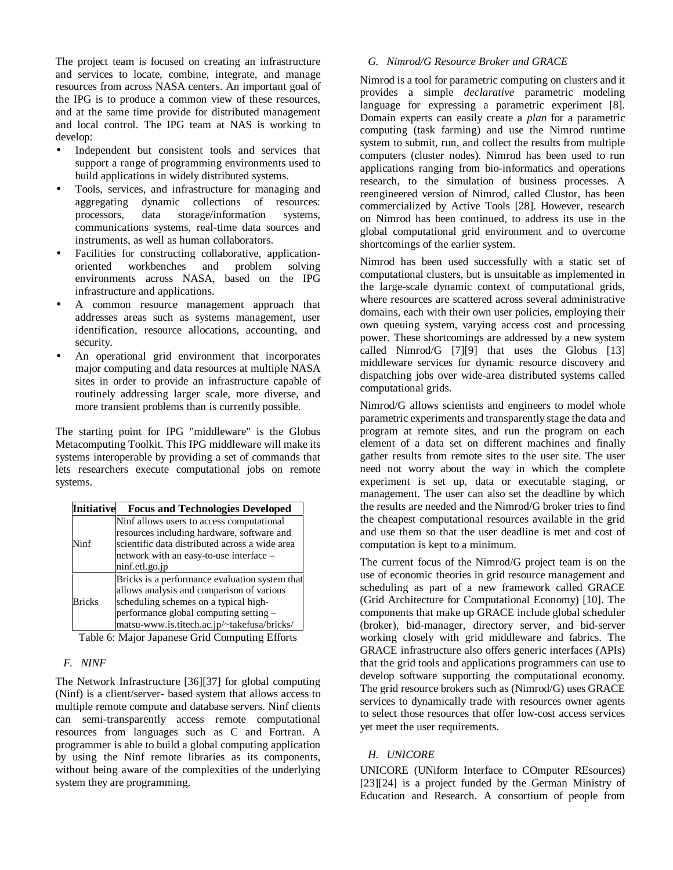The project team is focused on creating an infrastructure and services to locate, combine, integrate, and manage resources from across NASA centers. An important goal of the IPG is to produce a common view of these resources, and at the same time provide for distributed management and local control. The IPG team at NAS is working to develop:

- Independent but consistent tools and services that support a range of programming environments used to build applications in widely distributed systems.
- Tools, services, and infrastructure for managing and aggregating dynamic collections of resources: processors, data storage/information systems, communications systems, real-time data sources and instruments, as well as human collaborators.
- Facilities for constructing collaborative, applicationoriented workbenches and problem solving environments across NASA, based on the IPG infrastructure and applications.
- A common resource management approach that addresses areas such as systems management, user identification, resource allocations, accounting, and security.
- An operational grid environment that incorporates major computing and data resources at multiple NASA sites in order to provide an infrastructure capable of routinely addressing larger scale, more diverse, and more transient problems than is currently possible.

The starting point for IPG "middleware" is the Globus Metacomputing Toolkit. This IPG middleware will make its systems interoperable by providing a set of commands that lets researchers execute computational jobs on remote systems.

| nitiative     | <b>Focus and Technologies Developed</b>                                                                                                                                                                                       |
|---------------|-------------------------------------------------------------------------------------------------------------------------------------------------------------------------------------------------------------------------------|
| Ninf          | Ninf allows users to access computational<br>resources including hardware, software and<br>scientific data distributed across a wide area<br>network with an easy-to-use interface –<br>ninf.etl.go.jp                        |
| <b>Bricks</b> | Bricks is a performance evaluation system that<br>allows analysis and comparison of various<br>scheduling schemes on a typical high-<br>performance global computing setting -<br>matsu-www.is.titech.ac.jp/~takefusa/bricks/ |

Table 6: Major Japanese Grid Computing Efforts

## *F. NINF*

The Network Infrastructure [36][37] for global computing (Ninf) is a client/server- based system that allows access to multiple remote compute and database servers. Ninf clients can semi-transparently access remote computational resources from languages such as C and Fortran. A programmer is able to build a global computing application by using the Ninf remote libraries as its components, without being aware of the complexities of the underlying system they are programming.

## *G. Nimrod/G Resource Broker and GRACE*

Nimrod is a tool for parametric computing on clusters and it provides a simple *declarative* parametric modeling language for expressing a parametric experiment [8]. Domain experts can easily create a *plan* for a parametric computing (task farming) and use the Nimrod runtime system to submit, run, and collect the results from multiple computers (cluster nodes). Nimrod has been used to run applications ranging from bio-informatics and operations research, to the simulation of business processes. A reengineered version of Nimrod, called Clustor, has been commercialized by Active Tools [28]. However, research on Nimrod has been continued, to address its use in the global computational grid environment and to overcome shortcomings of the earlier system.

Nimrod has been used successfully with a static set of computational clusters, but is unsuitable as implemented in the large-scale dynamic context of computational grids, where resources are scattered across several administrative domains, each with their own user policies, employing their own queuing system, varying access cost and processing power. These shortcomings are addressed by a new system called Nimrod/G [7][9] that uses the Globus [13] middleware services for dynamic resource discovery and dispatching jobs over wide-area distributed systems called computational grids.

Nimrod/G allows scientists and engineers to model whole parametric experiments and transparently stage the data and program at remote sites, and run the program on each element of a data set on different machines and finally gather results from remote sites to the user site. The user need not worry about the way in which the complete experiment is set up, data or executable staging, or management. The user can also set the deadline by which the results are needed and the Nimrod/G broker tries to find the cheapest computational resources available in the grid and use them so that the user deadline is met and cost of computation is kept to a minimum.

The current focus of the Nimrod/G project team is on the use of economic theories in grid resource management and scheduling as part of a new framework called GRACE (Grid Architecture for Computational Economy) [10]. The components that make up GRACE include global scheduler (broker), bid-manager, directory server, and bid-server working closely with grid middleware and fabrics. The GRACE infrastructure also offers generic interfaces (APIs) that the grid tools and applications programmers can use to develop software supporting the computational economy. The grid resource brokers such as (Nimrod/G) uses GRACE services to dynamically trade with resources owner agents to select those resources that offer low-cost access services yet meet the user requirements.

### *H. UNICORE*

UNICORE (UNiform Interface to COmputer REsources) [23][24] is a project funded by the German Ministry of Education and Research. A consortium of people from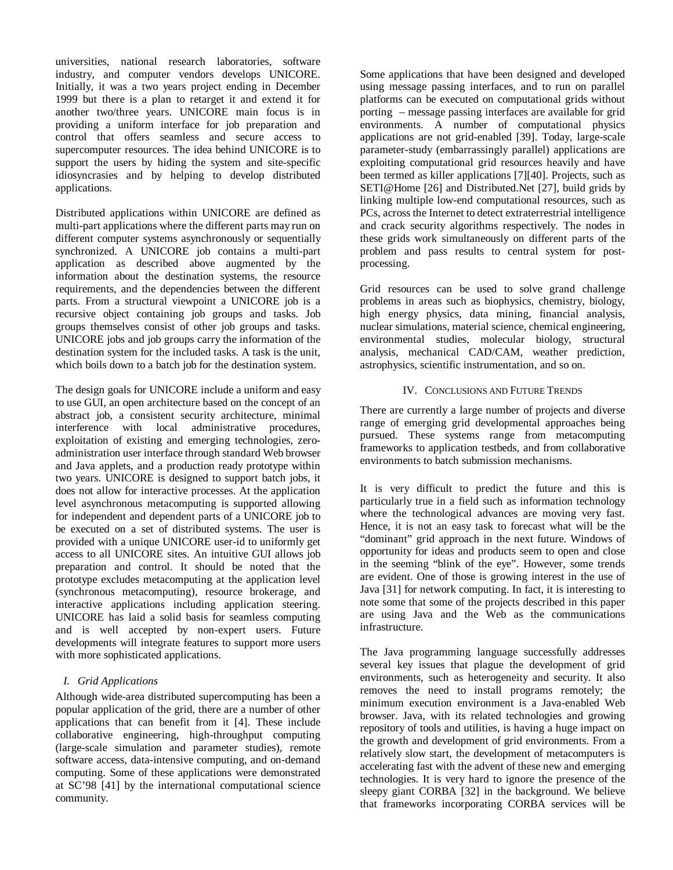universities, national research laboratories, software industry, and computer vendors develops UNICORE. Initially, it was a two years project ending in December 1999 but there is a plan to retarget it and extend it for another two/three years. UNICORE main focus is in providing a uniform interface for job preparation and control that offers seamless and secure access to supercomputer resources. The idea behind UNICORE is to support the users by hiding the system and site-specific idiosyncrasies and by helping to develop distributed applications.

Distributed applications within UNICORE are defined as multi-part applications where the different parts may run on different computer systems asynchronously or sequentially synchronized. A UNICORE job contains a multi-part application as described above augmented by the information about the destination systems, the resource requirements, and the dependencies between the different parts. From a structural viewpoint a UNICORE job is a recursive object containing job groups and tasks. Job groups themselves consist of other job groups and tasks. UNICORE jobs and job groups carry the information of the destination system for the included tasks. A task is the unit, which boils down to a batch job for the destination system.

The design goals for UNICORE include a uniform and easy to use GUI, an open architecture based on the concept of an abstract job, a consistent security architecture, minimal interference with local administrative procedures, exploitation of existing and emerging technologies, zeroadministration user interface through standard Web browser and Java applets, and a production ready prototype within two years. UNICORE is designed to support batch jobs, it does not allow for interactive processes. At the application level asynchronous metacomputing is supported allowing for independent and dependent parts of a UNICORE job to be executed on a set of distributed systems. The user is provided with a unique UNICORE user-id to uniformly get access to all UNICORE sites. An intuitive GUI allows job preparation and control. It should be noted that the prototype excludes metacomputing at the application level (synchronous metacomputing), resource brokerage, and interactive applications including application steering. UNICORE has laid a solid basis for seamless computing and is well accepted by non-expert users. Future developments will integrate features to support more users with more sophisticated applications.

## *I. Grid Applications*

Although wide-area distributed supercomputing has been a popular application of the grid, there are a number of other applications that can benefit from it [4]. These include collaborative engineering, high-throughput computing (large-scale simulation and parameter studies), remote software access, data-intensive computing, and on-demand computing. Some of these applications were demonstrated at SC'98 [41] by the international computational science community.

Some applications that have been designed and developed using message passing interfaces, and to run on parallel platforms can be executed on computational grids without porting – message passing interfaces are available for grid environments. A number of computational physics applications are not grid-enabled [39]. Today, large-scale parameter-study (embarrassingly parallel) applications are exploiting computational grid resources heavily and have been termed as killer applications [7][40]. Projects, such as SETI@Home [26] and Distributed.Net [27], build grids by linking multiple low-end computational resources, such as PCs, across the Internet to detect extraterrestrial intelligence and crack security algorithms respectively. The nodes in these grids work simultaneously on different parts of the problem and pass results to central system for postprocessing.

Grid resources can be used to solve grand challenge problems in areas such as biophysics, chemistry, biology, high energy physics, data mining, financial analysis, nuclear simulations, material science, chemical engineering, environmental studies, molecular biology, structural analysis, mechanical CAD/CAM, weather prediction, astrophysics, scientific instrumentation, and so on.

# IV. CONCLUSIONS AND FUTURE TRENDS

There are currently a large number of projects and diverse range of emerging grid developmental approaches being pursued. These systems range from metacomputing frameworks to application testbeds, and from collaborative environments to batch submission mechanisms.

It is very difficult to predict the future and this is particularly true in a field such as information technology where the technological advances are moving very fast. Hence, it is not an easy task to forecast what will be the "dominant" grid approach in the next future. Windows of opportunity for ideas and products seem to open and close in the seeming "blink of the eye". However, some trends are evident. One of those is growing interest in the use of Java [31] for network computing. In fact, it is interesting to note some that some of the projects described in this paper are using Java and the Web as the communications infrastructure.

The Java programming language successfully addresses several key issues that plague the development of grid environments, such as heterogeneity and security. It also removes the need to install programs remotely; the minimum execution environment is a Java-enabled Web browser. Java, with its related technologies and growing repository of tools and utilities, is having a huge impact on the growth and development of grid environments. From a relatively slow start, the development of metacomputers is accelerating fast with the advent of these new and emerging technologies. It is very hard to ignore the presence of the sleepy giant CORBA [32] in the background. We believe that frameworks incorporating CORBA services will be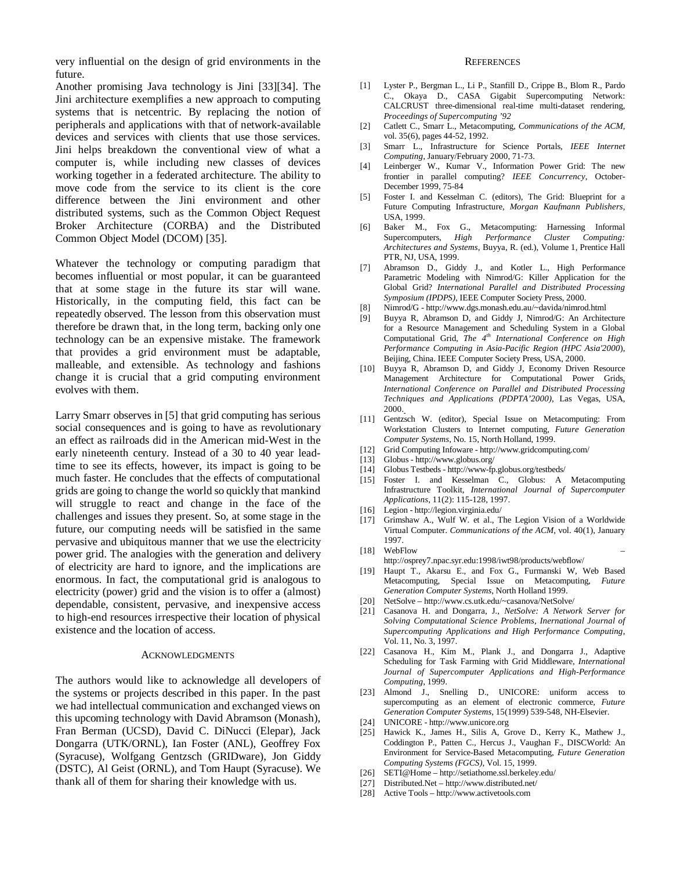very influential on the design of grid environments in the future.

Another promising Java technology is Jini [33][34]. The Jini architecture exemplifies a new approach to computing systems that is netcentric. By replacing the notion of peripherals and applications with that of network-available devices and services with clients that use those services. Jini helps breakdown the conventional view of what a computer is, while including new classes of devices working together in a federated architecture. The ability to move code from the service to its client is the core difference between the Jini environment and other distributed systems, such as the Common Object Request Broker Architecture (CORBA) and the Distributed Common Object Model (DCOM) [35].

Whatever the technology or computing paradigm that becomes influential or most popular, it can be guaranteed that at some stage in the future its star will wane. Historically, in the computing field, this fact can be repeatedly observed. The lesson from this observation must therefore be drawn that, in the long term, backing only one technology can be an expensive mistake. The framework that provides a grid environment must be adaptable, malleable, and extensible. As technology and fashions change it is crucial that a grid computing environment evolves with them.

Larry Smarr observes in [5] that grid computing has serious social consequences and is going to have as revolutionary an effect as railroads did in the American mid-West in the early nineteenth century. Instead of a 30 to 40 year leadtime to see its effects, however, its impact is going to be much faster. He concludes that the effects of computational grids are going to change the world so quickly that mankind will struggle to react and change in the face of the challenges and issues they present. So, at some stage in the future, our computing needs will be satisfied in the same pervasive and ubiquitous manner that we use the electricity power grid. The analogies with the generation and delivery of electricity are hard to ignore, and the implications are enormous. In fact, the computational grid is analogous to electricity (power) grid and the vision is to offer a (almost) dependable, consistent, pervasive, and inexpensive access to high-end resources irrespective their location of physical existence and the location of access.

#### **ACKNOWLEDGMENTS**

The authors would like to acknowledge all developers of the systems or projects described in this paper. In the past we had intellectual communication and exchanged views on this upcoming technology with David Abramson (Monash), Fran Berman (UCSD), David C. DiNucci (Elepar), Jack Dongarra (UTK/ORNL), Ian Foster (ANL), Geoffrey Fox (Syracuse), Wolfgang Gentzsch (GRIDware), Jon Giddy (DSTC), Al Geist (ORNL), and Tom Haupt (Syracuse). We thank all of them for sharing their knowledge with us.

#### **REFERENCES**

- [1] Lyster P., Bergman L., Li P., Stanfill D., Crippe B., Blom R., Pardo C., Okaya D., CASA Gigabit Supercomputing Network: CALCRUST three-dimensional real-time multi-dataset rendering, *Proceedings of Supercomputing '92*
- [2] Catlett C., Smarr L., Metacomputing, *Communications of the ACM*, vol. 35(6), pages 44-52, 1992.
- [3] Smarr L., Infrastructure for Science Portals, *IEEE Internet Computing*, January/February 2000, 71-73.
- [4] Leinberger W., Kumar V., Information Power Grid: The new frontier in parallel computing? *IEEE Concurrency*, October-December 1999, 75-84
- [5] Foster I. and Kesselman C. (editors), The Grid: Blueprint for a Future Computing Infrastructure, *Morgan Kaufmann Publishers*, USA, 1999.
- [6] Baker M., Fox G., Metacomputing: Harnessing Informal Supercomputers, *High Performance Cluster Computing: Architectures and Systems*, Buyya, R. (ed.), Volume 1, Prentice Hall PTR, NJ, USA, 1999.
- [7] Abramson D., Giddy J., and Kotler L., High Performance Parametric Modeling with Nimrod/G: Killer Application for the Global Grid? *International Parallel and Distributed Processing Symposium (IPDPS)*, IEEE Computer Society Press, 2000.
- [8] Nimrod/G http://www.dgs.monash.edu.au/~davida/nimrod.html
- [9] Buyya R, Abramson D, and Giddy J, Nimrod/G: An Architecture for a Resource Management and Scheduling System in a Global Computational Grid, *The 4th International Conference on High Performance Computing in Asia-Pacific Region (HPC Asia'2000*), Beijing, China. IEEE Computer Society Press, USA, 2000.
- [10] Buyya R, Abramson D, and Giddy J, Economy Driven Resource Management Architecture for Computational Power Grids, *International Conference on Parallel and Distributed Processing Techniques and Applications (PDPTA'2000)*, Las Vegas, USA, 2000.
- [11] Gentzsch W. (editor), Special Issue on Metacomputing: From Workstation Clusters to Internet computing, *Future Generation Computer Systems*, No. 15, North Holland, 1999.
- [12] Grid Computing Infoware http://www.gridcomputing.com/
- [13] Globus http://www.globus.org/
- [14] Globus Testbeds http://www-fp.globus.org/testbeds/
- [15] Foster I. and Kesselman C., Globus: A Metacomputing Infrastructure Toolkit, *International Journal of Supercomputer Applications*, 11(2): 115-128, 1997.
- [16] Legion http://legion.virginia.edu/
- [17] Grimshaw A., Wulf W. et al., The Legion Vision of a Worldwide Virtual Computer. *Communications of the ACM*, vol. 40(1), January 1997.
- [18] WebFlow http://osprey7.npac.syr.edu:1998/iwt98/products/webflow/
- [19] Haupt T., Akarsu E., and Fox G., Furmanski W, Web Based Metacomputing, Special Issue on Metacomputing, *Future Generation Computer Systems*, North Holland 1999.
- [20] NetSolve http://www.cs.utk.edu/~casanova/NetSolve/
- [21] Casanova H. and Dongarra, J*., NetSolve: A Network Server for Solving Computational Science Problems*, *Inernational Journal of Supercomputing Applications and High Performance Computing*, Vol. 11, No. 3, 1997.
- [22] Casanova H., Kim M., Plank J., and Dongarra J., Adaptive Scheduling for Task Farming with Grid Middleware, *International Journal of Supercomputer Applications and High-Performance Computing*, 1999.
- [23] Almond J., Snelling D., UNICORE: uniform access to supercomputing as an element of electronic commerce*, Future Generation Computer Systems*, 15(1999) 539-548, NH-Elsevier.
- [24] UNICORE http://www.unicore.org
- [25] Hawick K., James H., Silis A, Grove D., Kerry K., Mathew J., Coddington P., Patten C., Hercus J., Vaughan F., DISCWorld: An Environment for Service-Based Metacomputing, *Future Generation Computing Systems (FGCS)*, Vol. 15, 1999.
- [26] SETI@Home http://setiathome.ssl.berkeley.edu/
- [27] Distributed.Net http://www.distributed.net/
- [28] Active Tools http://www.activetools.com